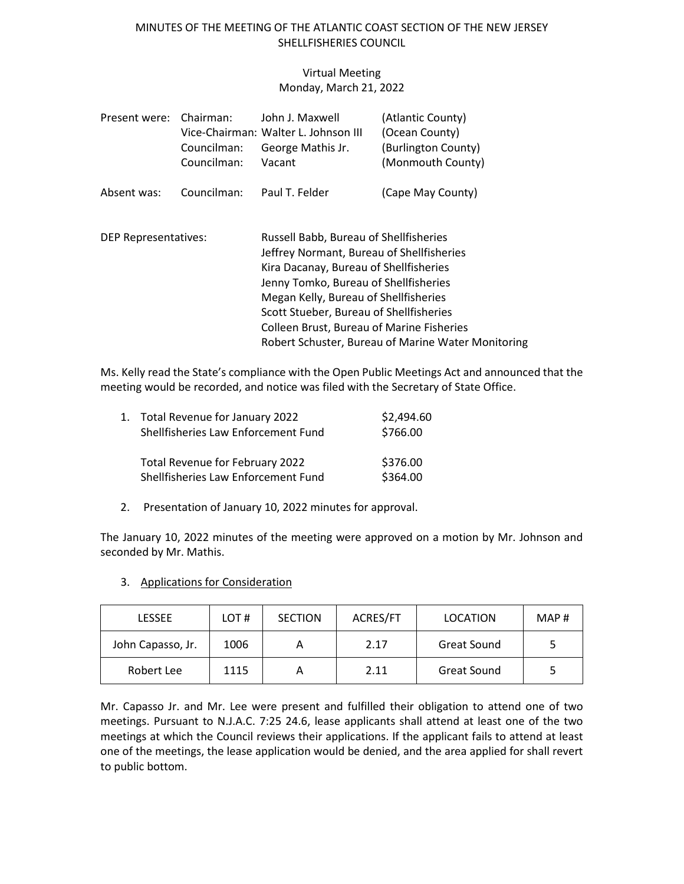### MINUTES OF THE MEETING OF THE ATLANTIC COAST SECTION OF THE NEW JERSEY SHELLFISHERIES COUNCIL

### Virtual Meeting Monday, March 21, 2022

| Present were:               | Chairman:<br>Councilman:<br>Councilman: | John J. Maxwell<br>Vice-Chairman: Walter L. Johnson III<br>George Mathis Jr.<br>Vacant                                                                                                                                                                                                                                                                               | (Atlantic County)<br>(Ocean County)<br>(Burlington County)<br>(Monmouth County) |  |
|-----------------------------|-----------------------------------------|----------------------------------------------------------------------------------------------------------------------------------------------------------------------------------------------------------------------------------------------------------------------------------------------------------------------------------------------------------------------|---------------------------------------------------------------------------------|--|
| Absent was:                 | Councilman:                             | Paul T. Felder                                                                                                                                                                                                                                                                                                                                                       | (Cape May County)                                                               |  |
| <b>DEP Representatives:</b> |                                         | Russell Babb, Bureau of Shellfisheries<br>Jeffrey Normant, Bureau of Shellfisheries<br>Kira Dacanay, Bureau of Shellfisheries<br>Jenny Tomko, Bureau of Shellfisheries<br>Megan Kelly, Bureau of Shellfisheries<br>Scott Stueber, Bureau of Shellfisheries<br><b>Colleen Brust, Bureau of Marine Fisheries</b><br>Robert Schuster, Bureau of Marine Water Monitoring |                                                                                 |  |

Ms. Kelly read the State's compliance with the Open Public Meetings Act and announced that the meeting would be recorded, and notice was filed with the Secretary of State Office.

| 1. Total Revenue for January 2022<br>Shellfisheries Law Enforcement Fund      | \$2,494.60<br>\$766.00 |
|-------------------------------------------------------------------------------|------------------------|
| <b>Total Revenue for February 2022</b><br>Shellfisheries Law Enforcement Fund | \$376.00<br>\$364.00   |

2. Presentation of January 10, 2022 minutes for approval.

The January 10, 2022 minutes of the meeting were approved on a motion by Mr. Johnson and seconded by Mr. Mathis.

- LESSEE | LOT # | SECTION | ACRES/FT | LOCATION | MAP # John Capasso, Jr. | 1006 | A | 2.17 | Great Sound | 5 Robert Lee | 1115 | A | 2.11 | Great Sound | 5
- 3. Applications for Consideration

Mr. Capasso Jr. and Mr. Lee were present and fulfilled their obligation to attend one of two meetings. Pursuant to N.J.A.C. 7:25 24.6, lease applicants shall attend at least one of the two meetings at which the Council reviews their applications. If the applicant fails to attend at least one of the meetings, the lease application would be denied, and the area applied for shall revert to public bottom.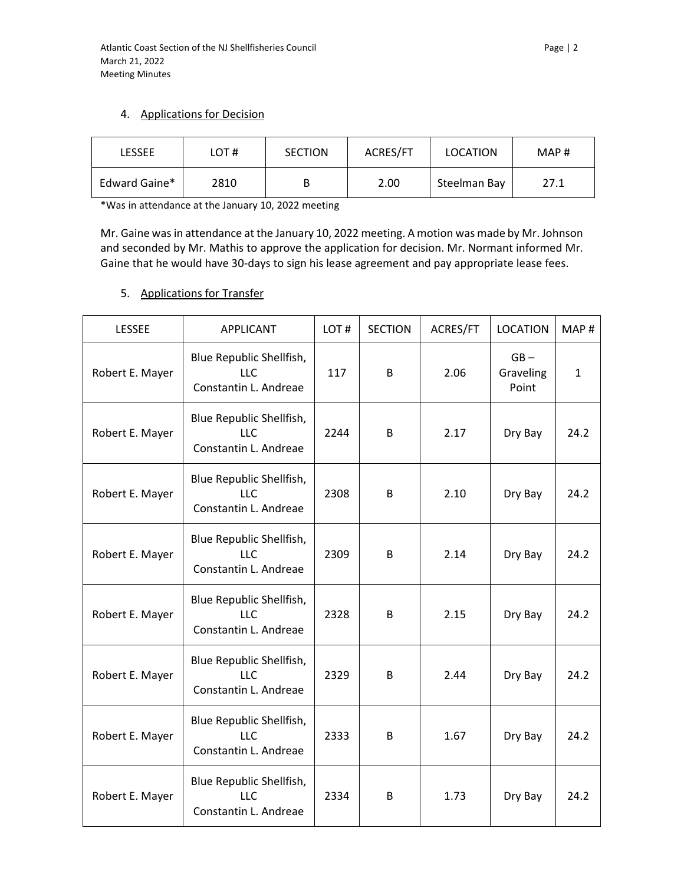### 4. Applications for Decision

| LESSEE        | LOT# | <b>SECTION</b> | ACRES/FT | LOCATION     | MAP# |
|---------------|------|----------------|----------|--------------|------|
| Edward Gaine* | 2810 |                | 2.00     | Steelman Bay | 27.1 |

\*Was in attendance at the January 10, 2022 meeting

Mr. Gaine was in attendance at the January 10, 2022 meeting. A motion was made by Mr. Johnson and seconded by Mr. Mathis to approve the application for decision. Mr. Normant informed Mr. Gaine that he would have 30-days to sign his lease agreement and pay appropriate lease fees.

# 5. Applications for Transfer

| <b>LESSEE</b>   | <b>APPLICANT</b>                                                | LOT# | <b>SECTION</b> | ACRES/FT | <b>LOCATION</b>              | MAP#         |
|-----------------|-----------------------------------------------------------------|------|----------------|----------|------------------------------|--------------|
| Robert E. Mayer | Blue Republic Shellfish,<br><b>LLC</b><br>Constantin L. Andreae | 117  | B              | 2.06     | $GB -$<br>Graveling<br>Point | $\mathbf{1}$ |
| Robert E. Mayer | Blue Republic Shellfish,<br><b>LLC</b><br>Constantin L. Andreae | 2244 | B              | 2.17     | Dry Bay                      | 24.2         |
| Robert E. Mayer | Blue Republic Shellfish,<br>LLC<br>Constantin L. Andreae        | 2308 | B              | 2.10     | Dry Bay                      | 24.2         |
| Robert E. Mayer | Blue Republic Shellfish,<br><b>LLC</b><br>Constantin L. Andreae | 2309 | B              | 2.14     | Dry Bay                      | 24.2         |
| Robert E. Mayer | Blue Republic Shellfish,<br>LLC<br>Constantin L. Andreae        | 2328 | B              | 2.15     | Dry Bay                      | 24.2         |
| Robert E. Mayer | Blue Republic Shellfish,<br><b>LLC</b><br>Constantin L. Andreae | 2329 | B              | 2.44     | Dry Bay                      | 24.2         |
| Robert E. Mayer | Blue Republic Shellfish,<br>LLC<br>Constantin L. Andreae        | 2333 | B              | 1.67     | Dry Bay                      | 24.2         |
| Robert E. Mayer | Blue Republic Shellfish,<br>LLC<br>Constantin L. Andreae        | 2334 | B              | 1.73     | Dry Bay                      | 24.2         |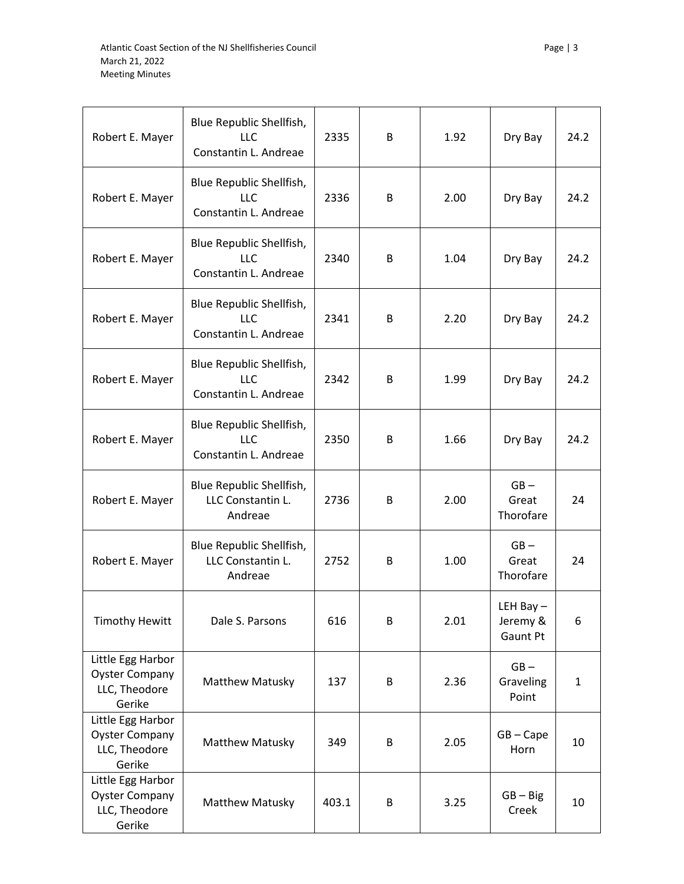| Robert E. Mayer                                                       | Blue Republic Shellfish,<br><b>LLC</b><br>Constantin L. Andreae | 2335 | B | 1.92 | Dry Bay                             | 24.2         |
|-----------------------------------------------------------------------|-----------------------------------------------------------------|------|---|------|-------------------------------------|--------------|
| Robert E. Mayer                                                       | Blue Republic Shellfish,<br><b>LLC</b><br>Constantin L. Andreae | 2336 | B | 2.00 | Dry Bay                             | 24.2         |
| Robert E. Mayer                                                       | Blue Republic Shellfish,<br><b>LLC</b><br>Constantin L. Andreae | 2340 | B | 1.04 | Dry Bay                             | 24.2         |
| Robert E. Mayer                                                       | Blue Republic Shellfish,<br><b>LLC</b><br>Constantin L. Andreae | 2341 | B | 2.20 | Dry Bay                             | 24.2         |
| Robert E. Mayer                                                       | Blue Republic Shellfish,<br>LLC<br>Constantin L. Andreae        | 2342 | B | 1.99 | Dry Bay                             | 24.2         |
| Robert E. Mayer                                                       | Blue Republic Shellfish,<br><b>LLC</b><br>Constantin L. Andreae | 2350 | B | 1.66 | Dry Bay                             | 24.2         |
| Robert E. Mayer                                                       | Blue Republic Shellfish,<br>LLC Constantin L.<br>Andreae        | 2736 | B | 2.00 | $GB -$<br>Great<br>Thorofare        | 24           |
| Robert E. Mayer                                                       | Blue Republic Shellfish,<br>LLC Constantin L.<br>Andreae        | 2752 | B | 1.00 | $GB -$<br>Great<br>Thorofare        | 24           |
| <b>Timothy Hewitt</b>                                                 | Dale S. Parsons                                                 | 616  | B | 2.01 | LEH Bay $-$<br>Jeremy &<br>Gaunt Pt | 6            |
| Little Egg Harbor<br><b>Oyster Company</b>                            |                                                                 |      |   |      | $GB -$                              |              |
| LLC, Theodore<br>Gerike                                               | Matthew Matusky                                                 | 137  | B | 2.36 | Graveling<br>Point                  | $\mathbf{1}$ |
| Little Egg Harbor<br><b>Oyster Company</b><br>LLC, Theodore<br>Gerike | <b>Matthew Matusky</b>                                          | 349  | B | 2.05 | $GB - Cape$<br>Horn                 | 10           |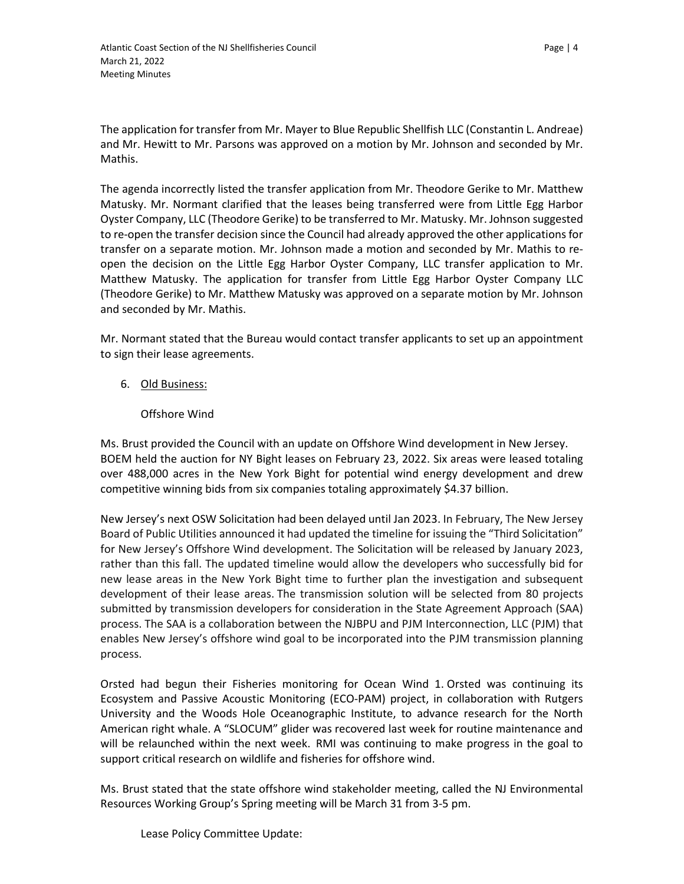The application for transfer from Mr. Mayer to Blue Republic Shellfish LLC (Constantin L. Andreae) and Mr. Hewitt to Mr. Parsons was approved on a motion by Mr. Johnson and seconded by Mr. Mathis.

The agenda incorrectly listed the transfer application from Mr. Theodore Gerike to Mr. Matthew Matusky. Mr. Normant clarified that the leases being transferred were from Little Egg Harbor Oyster Company, LLC (Theodore Gerike) to be transferred to Mr. Matusky. Mr. Johnson suggested to re-open the transfer decision since the Council had already approved the other applications for transfer on a separate motion. Mr. Johnson made a motion and seconded by Mr. Mathis to reopen the decision on the Little Egg Harbor Oyster Company, LLC transfer application to Mr. Matthew Matusky. The application for transfer from Little Egg Harbor Oyster Company LLC (Theodore Gerike) to Mr. Matthew Matusky was approved on a separate motion by Mr. Johnson and seconded by Mr. Mathis.

Mr. Normant stated that the Bureau would contact transfer applicants to set up an appointment to sign their lease agreements.

### 6. Old Business:

#### Offshore Wind

Ms. Brust provided the Council with an update on Offshore Wind development in New Jersey. BOEM held the auction for NY Bight leases on February 23, 2022. Six areas were leased totaling over 488,000 acres in the New York Bight for potential wind energy development and drew competitive winning bids from six companies totaling approximately \$4.37 billion.

New Jersey's next OSW Solicitation had been delayed until Jan 2023. In February, The New Jersey Board of Public Utilities announced it had updated the timeline for issuing the "Third Solicitation" for New Jersey's Offshore Wind development. The Solicitation will be released by January 2023, rather than this fall. The updated timeline would allow the developers who successfully bid for new lease areas in the New York Bight time to further plan the investigation and subsequent development of their lease areas. The transmission solution will be selected from 80 projects submitted by transmission developers for consideration in the State Agreement Approach (SAA) process. The SAA is a collaboration between the NJBPU and PJM Interconnection, LLC (PJM) that enables New Jersey's offshore wind goal to be incorporated into the PJM transmission planning process.

Orsted had begun their Fisheries monitoring for Ocean Wind 1. Orsted was continuing its Ecosystem and Passive Acoustic Monitoring (ECO-PAM) project, in collaboration with Rutgers University and the Woods Hole Oceanographic Institute, to advance research for the North American right whale. A "SLOCUM" glider was recovered last week for routine maintenance and will be relaunched within the next week. RMI was continuing to make progress in the goal to support critical research on wildlife and fisheries for offshore wind.

Ms. Brust stated that the state offshore wind stakeholder meeting, called the NJ Environmental Resources Working Group's Spring meeting will be March 31 from 3-5 pm.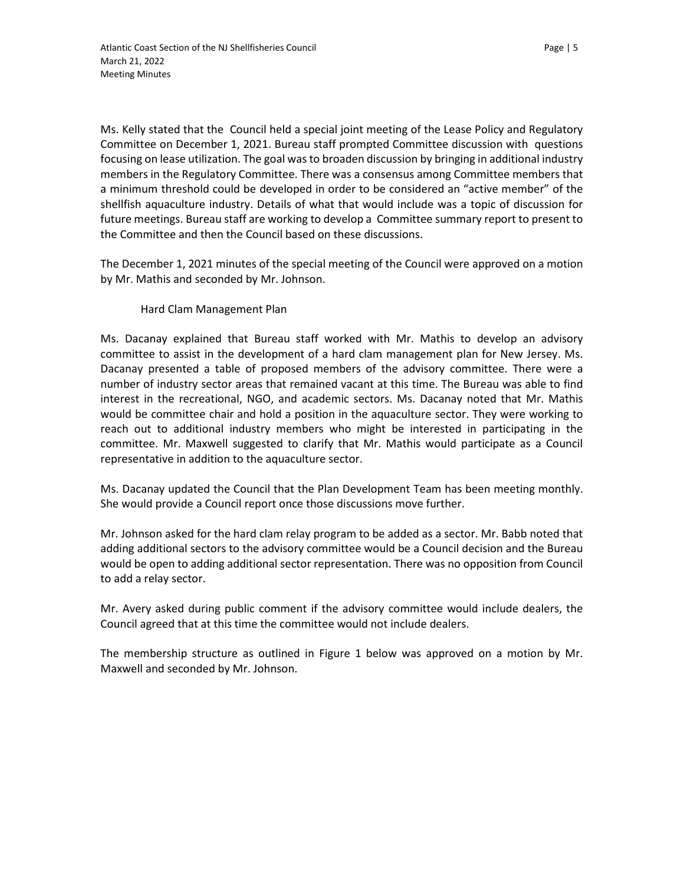Ms. Kelly stated that the Council held a special joint meeting of the Lease Policy and Regulatory Committee on December 1, 2021. Bureau staff prompted Committee discussion with questions focusing on lease utilization. The goal was to broaden discussion by bringing in additional industry members in the Regulatory Committee. There was a consensus among Committee members that a minimum threshold could be developed in order to be considered an "active member" of the shellfish aquaculture industry. Details of what that would include was a topic of discussion for future meetings. Bureau staff are working to develop a Committee summary report to present to the Committee and then the Council based on these discussions.

The December 1, 2021 minutes of the special meeting of the Council were approved on a motion by Mr. Mathis and seconded by Mr. Johnson.

#### Hard Clam Management Plan

Ms. Dacanay explained that Bureau staff worked with Mr. Mathis to develop an advisory committee to assist in the development of a hard clam management plan for New Jersey. Ms. Dacanay presented a table of proposed members of the advisory committee. There were a number of industry sector areas that remained vacant at this time. The Bureau was able to find interest in the recreational, NGO, and academic sectors. Ms. Dacanay noted that Mr. Mathis would be committee chair and hold a position in the aquaculture sector. They were working to reach out to additional industry members who might be interested in participating in the committee. Mr. Maxwell suggested to clarify that Mr. Mathis would participate as a Council representative in addition to the aquaculture sector.

Ms. Dacanay updated the Council that the Plan Development Team has been meeting monthly. She would provide a Council report once those discussions move further.

Mr. Johnson asked for the hard clam relay program to be added as a sector. Mr. Babb noted that adding additional sectors to the advisory committee would be a Council decision and the Bureau would be open to adding additional sector representation. There was no opposition from Council to add a relay sector.

Mr. Avery asked during public comment if the advisory committee would include dealers, the Council agreed that at this time the committee would not include dealers.

The membership structure as outlined in Figure 1 below was approved on a motion by Mr. Maxwell and seconded by Mr. Johnson.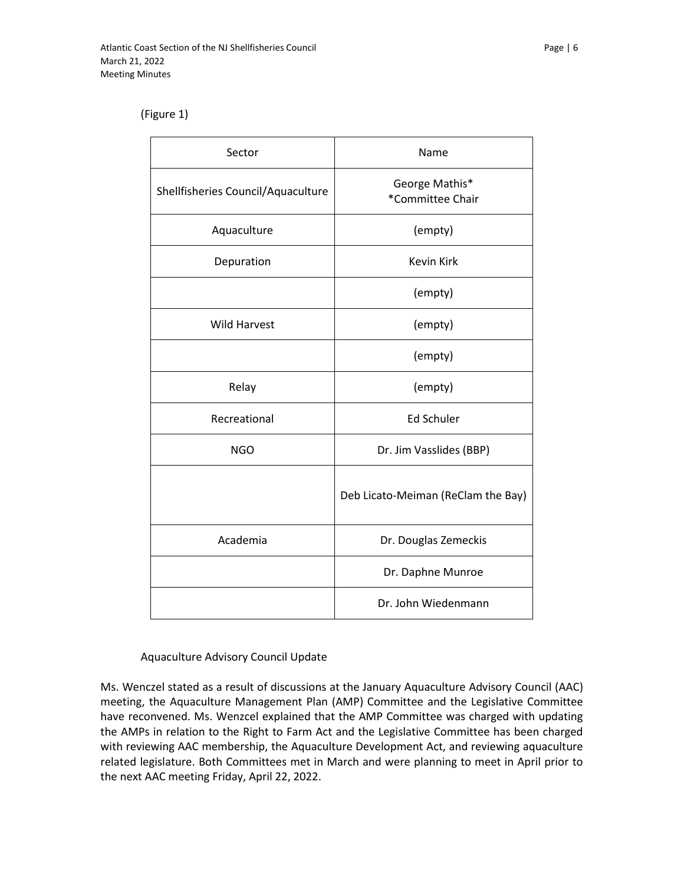#### (Figure 1)

| Sector                             | Name                               |  |  |
|------------------------------------|------------------------------------|--|--|
| Shellfisheries Council/Aquaculture | George Mathis*<br>*Committee Chair |  |  |
| Aquaculture                        | (empty)                            |  |  |
| Depuration                         | <b>Kevin Kirk</b>                  |  |  |
|                                    | (empty)                            |  |  |
| <b>Wild Harvest</b>                | (empty)                            |  |  |
|                                    | (empty)                            |  |  |
| Relay                              | (empty)                            |  |  |
| Recreational                       | <b>Ed Schuler</b>                  |  |  |
| <b>NGO</b>                         | Dr. Jim Vasslides (BBP)            |  |  |
|                                    | Deb Licato-Meiman (ReClam the Bay) |  |  |
| Academia                           | Dr. Douglas Zemeckis               |  |  |
|                                    | Dr. Daphne Munroe                  |  |  |
|                                    | Dr. John Wiedenmann                |  |  |

#### Aquaculture Advisory Council Update

Ms. Wenczel stated as a result of discussions at the January Aquaculture Advisory Council (AAC) meeting, the Aquaculture Management Plan (AMP) Committee and the Legislative Committee have reconvened. Ms. Wenzcel explained that the AMP Committee was charged with updating the AMPs in relation to the Right to Farm Act and the Legislative Committee has been charged with reviewing AAC membership, the Aquaculture Development Act, and reviewing aquaculture related legislature. Both Committees met in March and were planning to meet in April prior to the next AAC meeting Friday, April 22, 2022.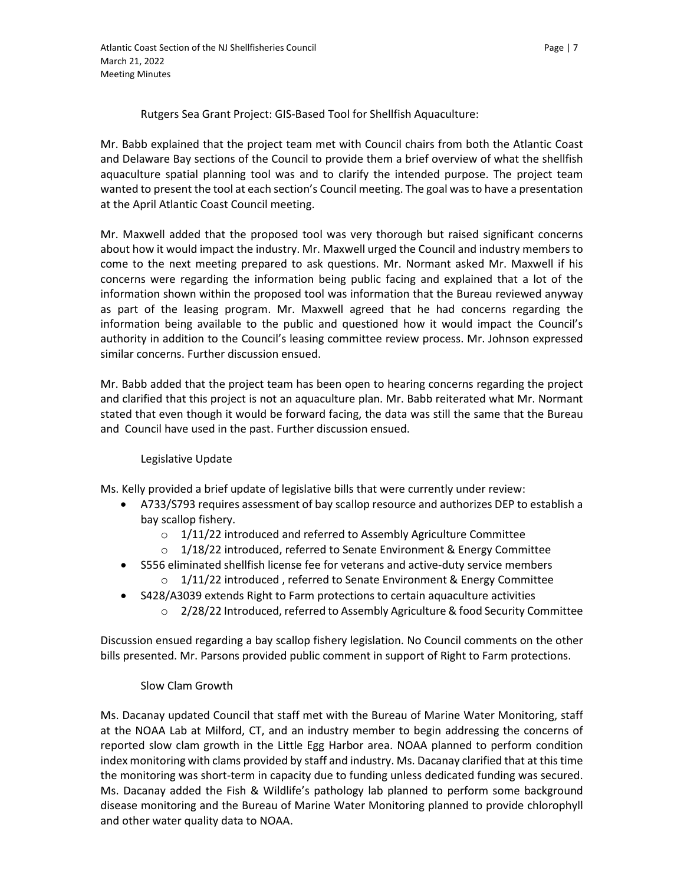Rutgers Sea Grant Project: GIS-Based Tool for Shellfish Aquaculture:

Mr. Babb explained that the project team met with Council chairs from both the Atlantic Coast and Delaware Bay sections of the Council to provide them a brief overview of what the shellfish aquaculture spatial planning tool was and to clarify the intended purpose. The project team wanted to present the tool at each section's Council meeting. The goal was to have a presentation at the April Atlantic Coast Council meeting.

Mr. Maxwell added that the proposed tool was very thorough but raised significant concerns about how it would impact the industry. Mr. Maxwell urged the Council and industry members to come to the next meeting prepared to ask questions. Mr. Normant asked Mr. Maxwell if his concerns were regarding the information being public facing and explained that a lot of the information shown within the proposed tool was information that the Bureau reviewed anyway as part of the leasing program. Mr. Maxwell agreed that he had concerns regarding the information being available to the public and questioned how it would impact the Council's authority in addition to the Council's leasing committee review process. Mr. Johnson expressed similar concerns. Further discussion ensued.

Mr. Babb added that the project team has been open to hearing concerns regarding the project and clarified that this project is not an aquaculture plan. Mr. Babb reiterated what Mr. Normant stated that even though it would be forward facing, the data was still the same that the Bureau and Council have used in the past. Further discussion ensued.

# Legislative Update

Ms. Kelly provided a brief update of legislative bills that were currently under review:

- A733/S793 requires assessment of bay scallop resource and authorizes DEP to establish a bay scallop fishery.
	- o 1/11/22 introduced and referred to Assembly Agriculture Committee
	- $\circ$  1/18/22 introduced, referred to Senate Environment & Energy Committee
- S556 eliminated shellfish license fee for veterans and active-duty service members
	- $\circ$  1/11/22 introduced, referred to Senate Environment & Energy Committee
- S428/A3039 extends Right to Farm protections to certain aquaculture activities
	- $\circ$  2/28/22 Introduced, referred to Assembly Agriculture & food Security Committee

Discussion ensued regarding a bay scallop fishery legislation. No Council comments on the other bills presented. Mr. Parsons provided public comment in support of Right to Farm protections.

#### Slow Clam Growth

Ms. Dacanay updated Council that staff met with the Bureau of Marine Water Monitoring, staff at the NOAA Lab at Milford, CT, and an industry member to begin addressing the concerns of reported slow clam growth in the Little Egg Harbor area. NOAA planned to perform condition index monitoring with clams provided by staff and industry. Ms. Dacanay clarified that at this time the monitoring was short-term in capacity due to funding unless dedicated funding was secured. Ms. Dacanay added the Fish & Wildlife's pathology lab planned to perform some background disease monitoring and the Bureau of Marine Water Monitoring planned to provide chlorophyll and other water quality data to NOAA.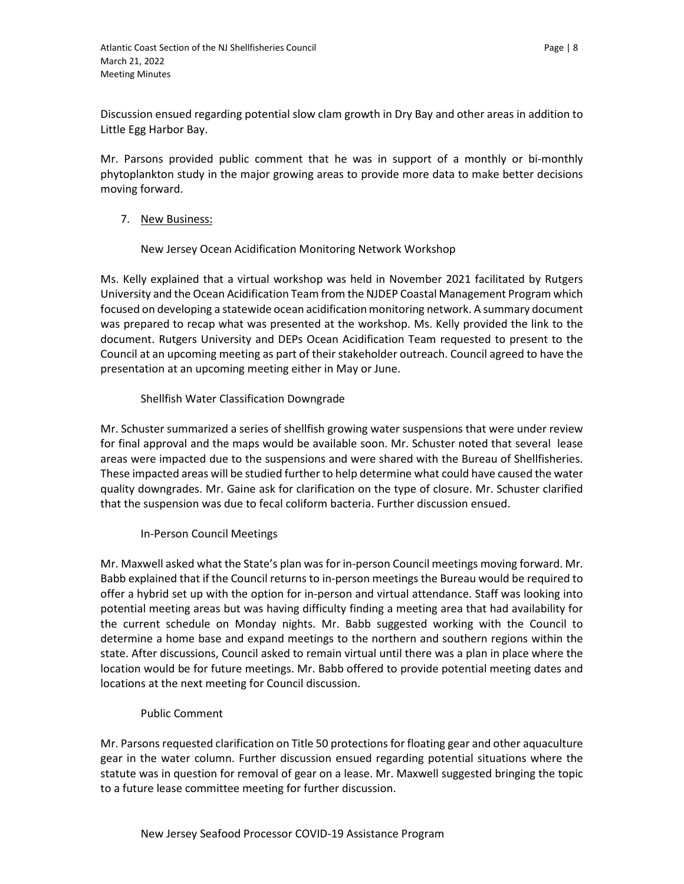Discussion ensued regarding potential slow clam growth in Dry Bay and other areas in addition to Little Egg Harbor Bay.

Mr. Parsons provided public comment that he was in support of a monthly or bi-monthly phytoplankton study in the major growing areas to provide more data to make better decisions moving forward.

# 7. New Business:

New Jersey Ocean Acidification Monitoring Network Workshop

Ms. Kelly explained that a virtual workshop was held in November 2021 facilitated by Rutgers University and the Ocean Acidification Team from the NJDEP Coastal Management Program which focused on developing a statewide ocean acidification monitoring network. A summary document was prepared to recap what was presented at the workshop. Ms. Kelly provided the link to the document. Rutgers University and DEPs Ocean Acidification Team requested to present to the Council at an upcoming meeting as part of their stakeholder outreach. Council agreed to have the presentation at an upcoming meeting either in May or June.

# Shellfish Water Classification Downgrade

Mr. Schuster summarized a series of shellfish growing water suspensions that were under review for final approval and the maps would be available soon. Mr. Schuster noted that several lease areas were impacted due to the suspensions and were shared with the Bureau of Shellfisheries. These impacted areas will be studied further to help determine what could have caused the water quality downgrades. Mr. Gaine ask for clarification on the type of closure. Mr. Schuster clarified that the suspension was due to fecal coliform bacteria. Further discussion ensued.

#### In-Person Council Meetings

Mr. Maxwell asked what the State's plan was for in-person Council meetings moving forward. Mr. Babb explained that if the Council returns to in-person meetings the Bureau would be required to offer a hybrid set up with the option for in-person and virtual attendance. Staff was looking into potential meeting areas but was having difficulty finding a meeting area that had availability for the current schedule on Monday nights. Mr. Babb suggested working with the Council to determine a home base and expand meetings to the northern and southern regions within the state. After discussions, Council asked to remain virtual until there was a plan in place where the location would be for future meetings. Mr. Babb offered to provide potential meeting dates and locations at the next meeting for Council discussion.

#### Public Comment

Mr. Parsons requested clarification on Title 50 protections for floating gear and other aquaculture gear in the water column. Further discussion ensued regarding potential situations where the statute was in question for removal of gear on a lease. Mr. Maxwell suggested bringing the topic to a future lease committee meeting for further discussion.